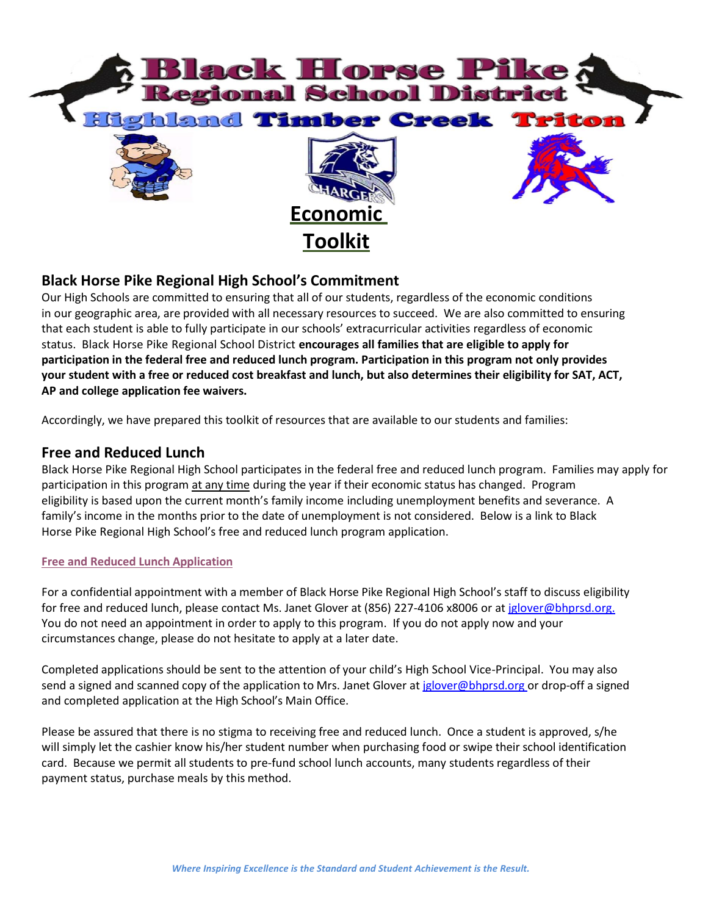

# **Black Horse Pike Regional High School's Commitment**

Our High Schools are committed to ensuring that all of our students, regardless of the economic conditions in our geographic area, are provided with all necessary resources to succeed. We are also committed to ensuring that each student is able to fully participate in our schools' extracurricular activities regardless of economic status. Black Horse Pike Regional School District **encourages all families that are eligible to apply for participation in the federal free and reduced lunch program. Participation in this program not only provides** your student with a free or reduced cost breakfast and lunch, but also determines their eligibility for SAT, ACT, **AP and college application fee waivers.**

Accordingly, we have prepared this toolkit of resources that are available to our students and families:

### **Free and Reduced Lunch**

Black Horse Pike Regional High School participates in the federal free and reduced lunch program. Families may apply for participation in this program at any time during the year if their economic status has changed. Program eligibility is based upon the current month's family income including unemployment benefits and severance. A family's income in the months prior to the date of unemployment is not considered. Below is a link to Black Horse Pike Regional High School's free and reduced lunch program application.

#### **Free and Reduced Lunch [Application](http://www.mainlandregional.net/documents/Free%20%26%20Reduced%20Lunch%20Application%20MRHS.pdf)**

For a confidential appointment with a member of Black Horse Pike Regional High School's staff to discuss eligibility for free and reduced lunch, please contact Ms. Janet Glover at (856) 227-4106 x8006 or a[t jglover@bhprsd.org.](mailto:jglover@bhprsd.org.%09) You do not need an appointment in order to apply to this program. If you do not apply now and your circumstances change, please do not hesitate to apply at a later date.

Completed applications should be sent to the attention of your child's High School Vice-Principal. You may also send a signed and scanned copy of the application to Mrs. Janet Glover a[t jglover@bhprsd.org](mailto:jglover@bhprsd.org) or drop-off a signed and completed application at the High School's Main Office.

Please be assured that there is no stigma to receiving free and reduced lunch. Once a student is approved, s/he will simply let the cashier know his/her student number when purchasing food or swipe their school identification card. Because we permit all students to pre-fund school lunch accounts, many students regardless of their payment status, purchase meals by this method.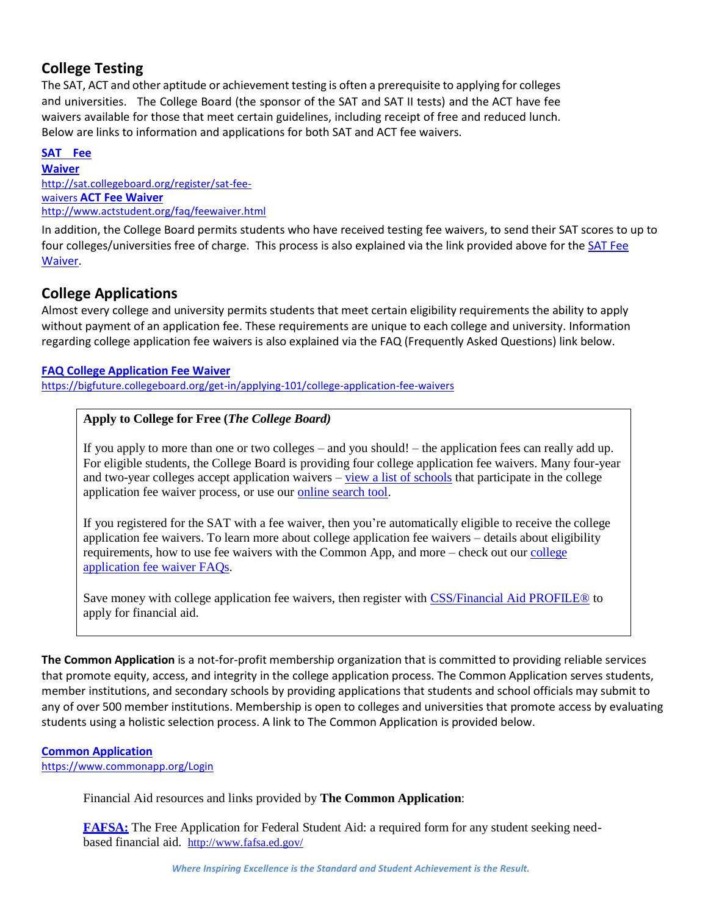# **College Testing**

The SAT, ACT and other aptitude or achievement testing is often a prerequisite to applying for colleges and universities. The College Board (the sponsor of the SAT and SAT II tests) and the ACT have fee waivers available for those that meet certain guidelines, including receipt of free and reduced lunch. Below are links to information and applications for both SAT and ACT fee waivers.

**[SAT](http://sat.collegeboard.org/register/sat-fee-waivers) Fee [Waiver](http://sat.collegeboard.org/register/sat-fee-waivers)** [http://sat.collegeboard.org/register/sat-fee](http://sat.collegeboard.org/register/sat-fee-waivers)[waivers](http://sat.collegeboard.org/register/sat-fee-waivers) **ACT Fee [Waiver](http://www.actstudent.org/faq/feewaiver.html)** <http://www.actstudent.org/faq/feewaiver.html>

In addition, the College Board permits students who have received testing fee waivers, to send their SAT scores to up to four colleges/universities free of charge. This process is also explained via the link provided above for th[e SAT](http://sat.collegeboard.org/register/sat-fee-waivers) Fee [Waiver.](http://sat.collegeboard.org/register/sat-fee-waivers)

# **College Applications**

Almost every college and university permits students that meet certain eligibility requirements the ability to apply without payment of an application fee. These requirements are unique to each college and university. Information regarding college application fee waivers is also explained via the FAQ (Frequently Asked Questions) link below.

#### **[FAQ College](https://bigfuture.collegeboard.org/get-in/applying-101/college-application-fee-waivers) Application Fee Waiver**

<https://bigfuture.collegeboard.org/get-in/applying-101/college-application-fee-waivers>

### **Apply to College for Free (***The College Board)*

If you apply to more than one or two colleges – and you should! – the application fees can really add up. For eligible students, the College Board is providing four college application fee waivers. Many four-year and two-year colleges accept application waivers – view a list of [schools](http://media.collegeboard.com/digitalServices/pdf/sat/sat-fee-waiver-directory.pdf) that participate in the college application fee waiver process, or use our online [search tool.](https://bigfuture.collegeboard.org/get-in/applying-101/college-application-fee-waivers/participating-colleges)

If you registered for the SAT with a fee waiver, then you're automatically eligible to receive the college application fee waivers. To learn more about college application fee waivers – details about eligibility requirements, how to use fee waivers with the Common App, and more – check out our [college](https://bigfuture.collegeboard.org/get-in/applying-101/college-application-fee-waivers) [application fee waiver](https://bigfuture.collegeboard.org/get-in/applying-101/college-application-fee-waivers) FAQs.

Save money with college application fee waivers, then register with CSS/Financial [Aid PROFILE®](http://student.collegeboard.org/css-financial-aid-profile) to apply for financial aid.

**The Common Application** is a not-for-profit membership organization that is committed to providing reliable services that promote equity, access, and integrity in the college application process. The Common Application serves students, member institutions, and secondary schools by providing applications that students and school officials may submit to any of over 500 member institutions. Membership is open to colleges and universities that promote access by evaluating students using a holistic selection process. A link to The Common Application is provided below.

#### **Common [Application](https://www.commonapp.org/Login)**

<https://www.commonapp.org/Login>

Financial Aid resources and links provided by **The Common Application**:

**[FAFSA:](http://www.fafsa.ed.gov/)** The Free Application for Federal Student Aid: a required form for any student seeking needbased financial aid. <http://www.fafsa.ed.gov/>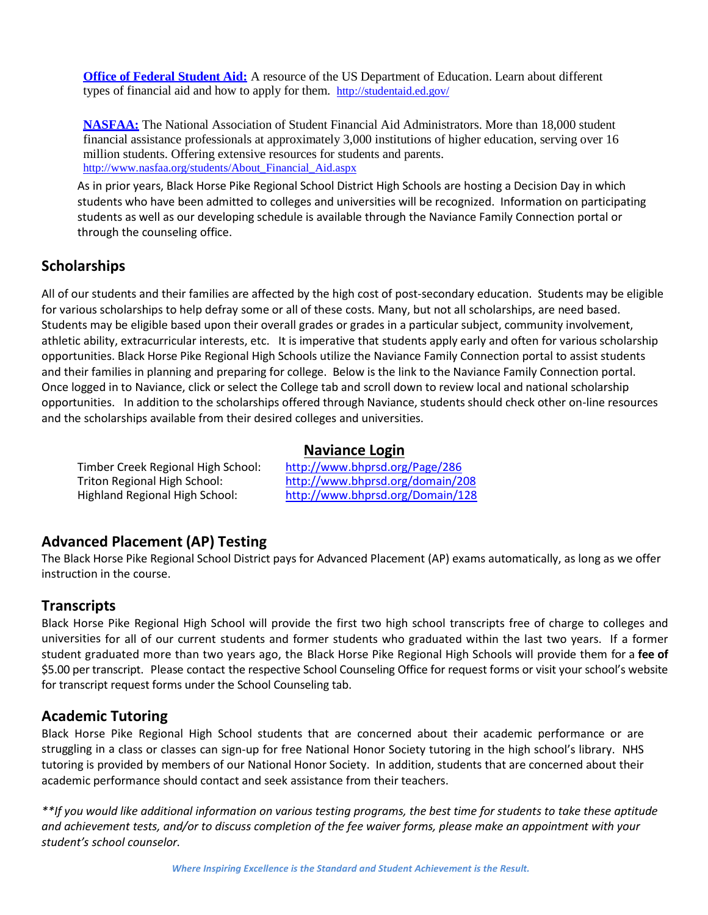**[Office of](http://studentaid.ed.gov/) Federal Student Aid:** A resource of the US Department of Education. Learn about different types of financial aid and how to apply for them. <http://studentaid.ed.gov/>

**[NASFAA:](http://www.nasfaa.org/students/About_Financial_Aid.aspx)** The National Association of Student Financial Aid Administrators. More than 18,000 student financial assistance professionals at approximately 3,000 institutions of higher education, serving over 16 million students. Offering extensive resources for students and parents. [http://www.nasfaa.org/students/About\\_Financial\\_Aid.aspx](http://www.nasfaa.org/students/About_Financial_Aid.aspx)

As in prior years, Black Horse Pike Regional School District High Schools are hosting a Decision Day in which students who have been admitted to colleges and universities will be recognized. Information on participating students as well as our developing schedule is available through the Naviance Family Connection portal or through the counseling office.

# **Scholarships**

All of our students and their families are affected by the high cost of post-secondary education. Students may be eligible for various scholarships to help defray some or all of these costs. Many, but not all scholarships, are need based. Students may be eligible based upon their overall grades or grades in a particular subject, community involvement, athletic ability, extracurricular interests, etc. It is imperative that students apply early and often for various scholarship opportunities. Black Horse Pike Regional High Schools utilize the Naviance Family Connection portal to assist students and their families in planning and preparing for college. Below is the link to the Naviance Family Connection portal. Once logged in to Naviance, click or select the College tab and scroll down to review local and national scholarship opportunities. In addition to the scholarships offered through Naviance, students should check other on-line resources and the scholarships available from their desired colleges and universities.

#### **Naviance Login**

Timber Creek Regional High School: <http://www.bhprsd.org/Page/286>

Triton Regional High School: <http://www.bhprsd.org/domain/208> Highland Regional High School: <http://www.bhprsd.org/Domain/128>

## **Advanced Placement (AP) Testing**

The Black Horse Pike Regional School District pays for Advanced Placement (AP) exams automatically, as long as we offer instruction in the course.

## **Transcripts**

Black Horse Pike Regional High School will provide the first two high school transcripts free of charge to colleges and universities for all of our current students and former students who graduated within the last two years. If a former student graduated more than two years ago, the Black Horse Pike Regional High Schools will provide them for a **fee of** \$5.00 per transcript. Please contact the respective School Counseling Office for request forms or visit your school's website for transcript request forms under the School Counseling tab.

### **Academic Tutoring**

Black Horse Pike Regional High School students that are concerned about their academic performance or are struggling in a class or classes can sign-up for free National Honor Society tutoring in the high school's library. NHS tutoring is provided by members of our National Honor Society. In addition, students that are concerned about their academic performance should contact and seek assistance from their teachers.

\*\*If you would like additional information on various testing programs, the best time for students to take these aptitude *and achievement tests, and/or to discuss completion of the fee waiver forms, please make an appointment with your student's school counselor.*